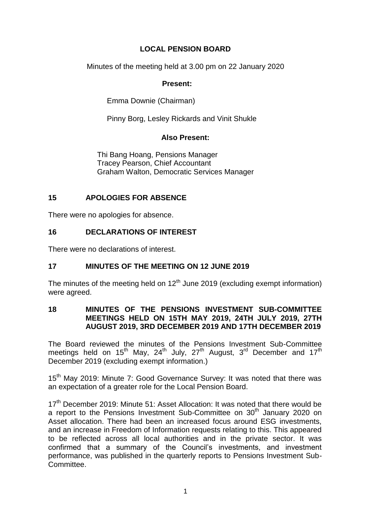# **LOCAL PENSION BOARD**

Minutes of the meeting held at 3.00 pm on 22 January 2020

#### **Present:**

Emma Downie (Chairman)

Pinny Borg, Lesley Rickards and Vinit Shukle

### **Also Present:**

Thi Bang Hoang, Pensions Manager Tracey Pearson, Chief Accountant Graham Walton, Democratic Services Manager

## **15 APOLOGIES FOR ABSENCE**

There were no apologies for absence.

## **16 DECLARATIONS OF INTEREST**

There were no declarations of interest.

# **17 MINUTES OF THE MEETING ON 12 JUNE 2019**

The minutes of the meeting held on  $12<sup>th</sup>$  June 2019 (excluding exempt information) were agreed.

#### **18 MINUTES OF THE PENSIONS INVESTMENT SUB-COMMITTEE MEETINGS HELD ON 15TH MAY 2019, 24TH JULY 2019, 27TH AUGUST 2019, 3RD DECEMBER 2019 AND 17TH DECEMBER 2019**

The Board reviewed the minutes of the Pensions Investment Sub-Committee meetings held on 15<sup>th</sup> May, 24<sup>th</sup> July, 27<sup>th</sup> August, 3<sup>rd</sup> December and 17<sup>th</sup> December 2019 (excluding exempt information.)

15<sup>th</sup> Mav 2019: Minute 7: Good Governance Survey: It was noted that there was an expectation of a greater role for the Local Pension Board.

 $17<sup>th</sup>$  December 2019: Minute 51: Asset Allocation: It was noted that there would be a report to the Pensions Investment Sub-Committee on 30<sup>th</sup> January 2020 on Asset allocation. There had been an increased focus around ESG investments, and an increase in Freedom of Information requests relating to this. This appeared to be reflected across all local authorities and in the private sector. It was confirmed that a summary of the Council's investments, and investment performance, was published in the quarterly reports to Pensions Investment Sub-Committee.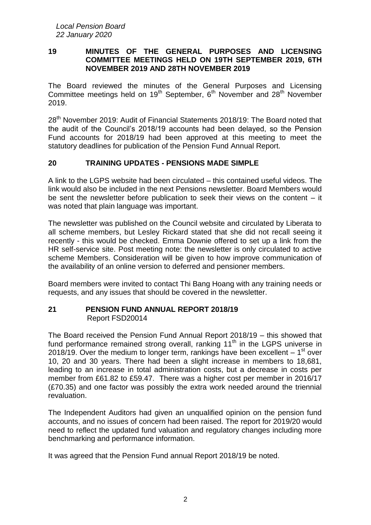#### **19 MINUTES OF THE GENERAL PURPOSES AND LICENSING COMMITTEE MEETINGS HELD ON 19TH SEPTEMBER 2019, 6TH NOVEMBER 2019 AND 28TH NOVEMBER 2019**

The Board reviewed the minutes of the General Purposes and Licensing Committee meetings held on 19<sup>th</sup> September,  $6<sup>th</sup>$  November and 28<sup>th</sup> November 2019.

28<sup>th</sup> November 2019: Audit of Financial Statements 2018/19: The Board noted that the audit of the Council's 2018/19 accounts had been delayed, so the Pension Fund accounts for 2018/19 had been approved at this meeting to meet the statutory deadlines for publication of the Pension Fund Annual Report.

# **20 TRAINING UPDATES - PENSIONS MADE SIMPLE**

A link to the LGPS website had been circulated – this contained useful videos. The link would also be included in the next Pensions newsletter. Board Members would be sent the newsletter before publication to seek their views on the content – it was noted that plain language was important.

The newsletter was published on the Council website and circulated by Liberata to all scheme members, but Lesley Rickard stated that she did not recall seeing it recently - this would be checked. Emma Downie offered to set up a link from the HR self-service site. Post meeting note: the newsletter is only circulated to active scheme Members. Consideration will be given to how improve communication of the availability of an online version to deferred and pensioner members.

Board members were invited to contact Thi Bang Hoang with any training needs or requests, and any issues that should be covered in the newsletter.

### **21 PENSION FUND ANNUAL REPORT 2018/19** Report FSD20014

The Board received the Pension Fund Annual Report 2018/19 – this showed that fund performance remained strong overall, ranking  $11<sup>th</sup>$  in the LGPS universe in 2018/19. Over the medium to longer term, rankings have been excellent  $-1<sup>st</sup>$  over 10, 20 and 30 years. There had been a slight increase in members to 18,681, leading to an increase in total administration costs, but a decrease in costs per member from £61.82 to £59.47. There was a higher cost per member in 2016/17 (£70.35) and one factor was possibly the extra work needed around the triennial revaluation.

The Independent Auditors had given an unqualified opinion on the pension fund accounts, and no issues of concern had been raised. The report for 2019/20 would need to reflect the updated fund valuation and regulatory changes including more benchmarking and performance information.

It was agreed that the Pension Fund annual Report 2018/19 be noted.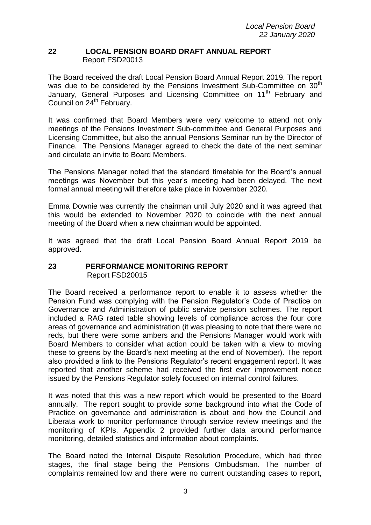#### **22 LOCAL PENSION BOARD DRAFT ANNUAL REPORT** Report FSD20013

The Board received the draft Local Pension Board Annual Report 2019. The report was due to be considered by the Pensions Investment Sub-Committee on 30<sup>th</sup> January, General Purposes and Licensing Committee on 11<sup>th</sup> February and Council on 24<sup>th</sup> February.

It was confirmed that Board Members were very welcome to attend not only meetings of the Pensions Investment Sub-committee and General Purposes and Licensing Committee, but also the annual Pensions Seminar run by the Director of Finance. The Pensions Manager agreed to check the date of the next seminar and circulate an invite to Board Members.

The Pensions Manager noted that the standard timetable for the Board's annual meetings was November but this year's meeting had been delayed. The next formal annual meeting will therefore take place in November 2020.

Emma Downie was currently the chairman until July 2020 and it was agreed that this would be extended to November 2020 to coincide with the next annual meeting of the Board when a new chairman would be appointed.

It was agreed that the draft Local Pension Board Annual Report 2019 be approved.

### **23 PERFORMANCE MONITORING REPORT** Report FSD20015

The Board received a performance report to enable it to assess whether the Pension Fund was complying with the Pension Regulator's Code of Practice on Governance and Administration of public service pension schemes. The report included a RAG rated table showing levels of compliance across the four core areas of governance and administration (it was pleasing to note that there were no reds, but there were some ambers and the Pensions Manager would work with Board Members to consider what action could be taken with a view to moving these to greens by the Board's next meeting at the end of November). The report also provided a link to the Pensions Regulator's recent engagement report. It was reported that another scheme had received the first ever improvement notice issued by the Pensions Regulator solely focused on internal control failures.

It was noted that this was a new report which would be presented to the Board annually. The report sought to provide some background into what the Code of Practice on governance and administration is about and how the Council and Liberata work to monitor performance through service review meetings and the monitoring of KPIs. Appendix 2 provided further data around performance monitoring, detailed statistics and information about complaints.

The Board noted the Internal Dispute Resolution Procedure, which had three stages, the final stage being the Pensions Ombudsman. The number of complaints remained low and there were no current outstanding cases to report,